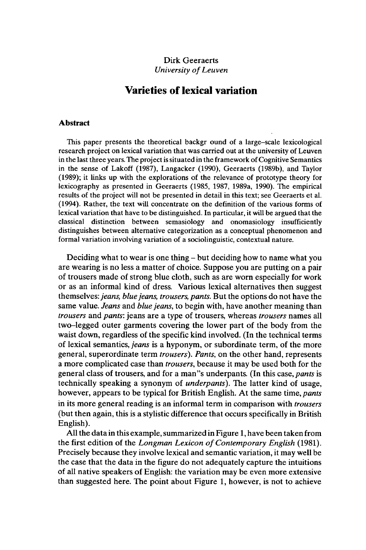## Dirk Geeraerts *University of Leuven*

# **Varieties of lexical variation**

### **Abstract**

This paper presents the theoretical backgr ound of a large-scale lexicological research project on lexical variation that was carried out at the university of Leuven in the last three years. The project is situated in the framework of Cognitive Semantics in the sense of Lakoff (1987), Langacker (1990), Geeraerts (1989b), and Taylor (1989); it links up with the explorations of the relevance of prototype theory for lexicography as presented in Geeraerts (1985, 1987, 1989a, 1990). The empirical results of the project will not be presented in detail in this text; see Geeraerts et al. (1994). Rather, the text will concentrate on the definition of the various forms of lexical variation that have to be distinguished. In particular, it will be argued that the classical distinction between semasiology and onomasiology insufficiently distinguishes between alternative categorization as a conceptual phenomenon and formal variation involving variation of a sociolinguistic, contextual nature.

Deciding what to wear is one thing - but deciding how to name what you are wearing is no less a matter of choice. Suppose you are putting on a pair of trousers made of strong blue cloth, such as are worn especially for work or as an informal kind of dress. Various lexical alternatives then suggest themselves:*jeans, blue jeans, trousers, pants.* But the options do not have the same value. *Jeans* and *blue jeans,* to begin with, have another meaning than *trousers* and *pants:* jeans are a type of trousers, whereas *trousers* names all two-legged outer garments covering the lower part of the body from the waist down, regardless of the specific kind involved. (In the technical terms of lexical semantics, *jeans* is a hyponym, or subordinate term, of the more general, superordinate term *trousers). Pants,* on the other hand, represents a more complicated case than *trousers,* because it may be used both for the general class of trousers, and for a man"s underpants. (In this case, *pants* is technically speaking a synonym of *underpants).* The latter kind of usage, however, appears to be typical for British English. At the same time, *pants* in its more general reading is an informal term in comparison with *trousers* (but then again, this is a stylistic difference that occurs specifically in British English).

All the data in this example, summarized in Figure 1, have been taken from the first edition of the *Longman Lexicon ofContemporary English* (1981). Precisely because they involve lexical and semantic variation, it may well be the case that the data in the figure do not adequately capture the intuitions of all native speakers of English: the variation may be even more extensive than suggested here. The point about Figure 1, however, is not to achieve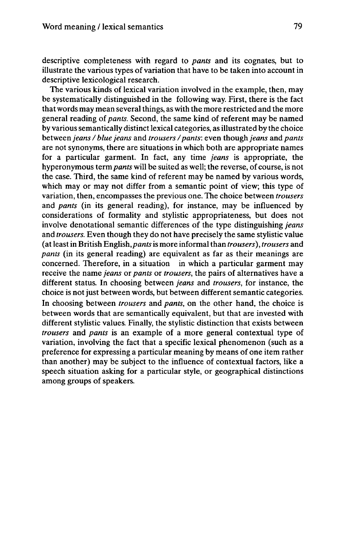descriptive completeness with regard to *pants* and its cognates, but to illustrate the various types of variation that have to be taken into account in descriptive lexicological research.

The various kinds of lexical variation involved in the example, then, may be systematically distinguished in the following way. First, there is the fact that words may mean several things, as with the more restricted and the more general reading of *pants.* Second, the same kind of referent may be named by various semantically distinct lexical categories, as illustrated by the choice between *jeans/ blue jeans* and *trousers*/*pants:* even though *jeans* and *pants* are not synonyms, there are situations in which both are appropriate names for a particular garment. In fact, any time *jeans* is appropriate, the hyperonymous term*pants* will be suited as well; the reverse, of course, is not the case. Third, the same kind of referent may be named by various words, which may or may not differ from a semantic point of view; this type of variation, then, encompasses the previous one. The choice between *trousers* and *pants* (in its general reading), for instance, may be influenced by considerations of formality and stylistic appropriateness, but does not involve denotational semantic differences of the type distinguishing *jeans* and *trousers.* Even though they do not have precisely the same stylistic value (at least in British English, *pants* is more informal than *trousers*), *trousers* and *pants* (in its general reading) are equivalent as far as their meanings are concerned. Therefore, in a situation in which a particular garment may receive the name *jeans or pants* or *trousers,* the pairs of alternatives have a different status. In choosing between *jeans* and *trousers,* for instance, the choice is not just between words, but between different semantic categories. In choosing between *trousers* and *pants,* on the other hand, the choice is between words that are semantically equivalent, but that are invested with different stylistic values. Finally, the stylistic distinction that exists between *trousers* and *pants* is an example of a more general contextual type of variation, involving the fact that a specific lexical phenomenon (such as a preference for expressing a particular meaning by means of one item rather than another) may be subject to the influence of contextual factors, like a speech situation asking for a particular style, or geographical distinctions among groups of speakers.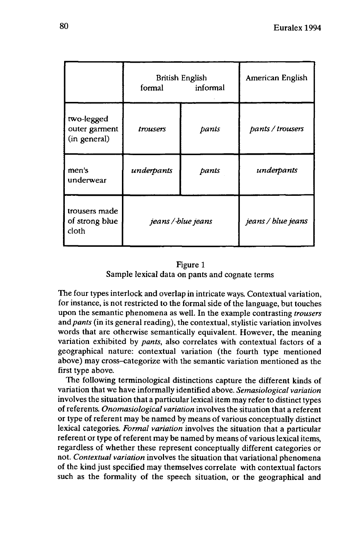|                                             | formal             | <b>British English</b><br>informal | American English   |
|---------------------------------------------|--------------------|------------------------------------|--------------------|
| two-legged<br>outer garment<br>(in general) | trousers           | pants                              | pants / trousers   |
| men's<br>underwear                          | underpants         | pants                              | underpants         |
| trousers made<br>of strong blue<br>cloth    | jeans / blue jeans |                                    | jeans / blue jeans |

Figure <sup>1</sup> Sample lexical data on pants and cognate terms

The four types interlock and overlap in intricate ways. Contextual variation, for instance, is not restricted to the formal side of the language, but touches upon the semantic phenomena as well. In the example contrasting *trousers* and *pants* (in its general reading), the contextual, stylistic variation involves words that are otherwise semantically equivalent. However, the meaning variation exhibited by *pants,* also correlates with contextual factors of a geographical nature: contextual variation (the fourth type mentioned above) may cross-categorize with the semantic variation mentioned as the first type above.

The following terminological distinctions capture the different kinds of variation that we have informally identified above. *Semasiological variation* involves the situation that a particular lexical item may refer to distinct types ofreferents. *Onomasiological variation* involves the situation that a referent or type of referent may be named by means of various conceptually distinct lexical categories. *Formal variation* involves the situation that a particular referent or type of referent may be named by means of various lexical items, regardless of whether these represent conceptually different categories or not. *Contextual variation* involves the situation that variational phenomena of the kind just specified may themselves correlate with contextual factors such as the formality of the speech situation, or the geographical and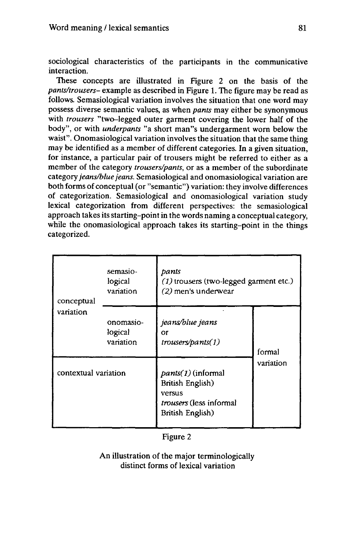sociological characteristics of the participants in the communicative interaction.

These concepts are illustrated in Figure 2 on the basis of the *pants/trousers-* example as described in Figure 1. The figure may be read as follows. Semasiological variation involves the situation that one word may possess diverse semantic values, as when *pants* may either be synonymous with *trousers* "two-legged outer garment covering the lower half of the body", or with *underpants* "a short man"s undergarment worn below the waist". Onomasiological variation involves the situation that the same thing may be identified as a member of different categories. In a given situation, for instance, a particular pair of trousers might be referred to either as a member of the category *trousers/pants,* or as a member of the subordinate category *jeans/blue jeans.* Semasiological and onomasiological variation are both forms of conceptual (or "semantic") variation: they involve differences of categorization. Semasiological and onomasiological variation study lexical categorization from different perspectives: the semasiological approach takes its starting-point in the words naming a conceptual category, while the onomasiological approach takes its starting-point in the things categorized.

| conceptual<br>variation | semasio-<br>logical<br>variation  | pants<br>$(1)$ trousers (two-legged garment etc.)<br>(2) men's underwear                               |           |
|-------------------------|-----------------------------------|--------------------------------------------------------------------------------------------------------|-----------|
|                         | onomasio-<br>logical<br>variation | jeans/blue jeans<br>Οľ<br>trousers/pants(1)                                                            | formal    |
| contextual variation    |                                   | pants(1) (informal<br>British English)<br>versus<br><i>trousers</i> (less informal<br>British English) | variation |

## Figure 2

An illustration of the major terminologically distinct forms of lexical variation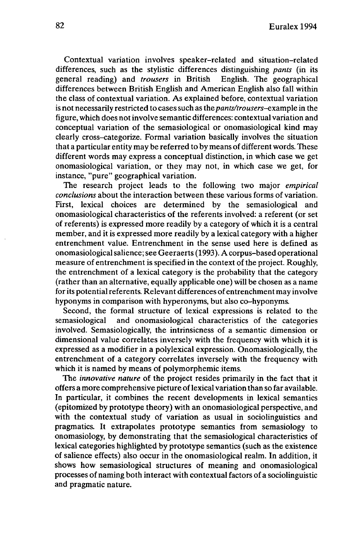Contextual variation involves speaker-related and situation-related differences, such as the stylistic differences distinguishing *pants* (in its general reading) and *trousers* in British English. The geographical differences between British English and American English also fall within the class of contextual variation. As explained before, contextual variation is not necessarily restricted to cases such as the *pants/trousers*-example in the figure, which does notinvolve semantic differences: contextual variation and conceptual variation of the semasiological or onomasiological kind may clearly cross-categorize. Formal variation basically involves the situation that a particular entity may be referred to by means of different words. These different words may express a conceptual distinction, in which case we get onomasiological variation, or they may not, in which case we get, for instance, "pure" geographical variation.

The research project leads to the following two major *empirical conclusions* about the interaction between these various forms of variation. First, lexical choices are determined by the semasiological and onomasiological characteristics of the referents involved: a referent (or set of referents) is expressed more readily by a category of which it is a central member, and it is expressed more readily by a lexical category with a higher entrenchment value. Entrenchment in the sense used here is defined as onomasiologicalsalience;see Geeraerts(1993). A corpus-based operational measure of entrenchment is specified in the context of the project. Roughly, the entrenchment of a lexical category is the probability that the category (rather than an alternative, equally applicable one) will be chosen as a name for its potential referents. Relevant differences of entrenchment may involve hyponyms in comparison with hyperonyms, but also co-hyponyms.

Second, the formal structure of lexical expressions is related to the semasiological and onomasiological characteristics of the categories and onomasiological characteristics of the categories involved. Semasiologically, the intrinsicness of a semantic dimension or dimensional value correlates inversely with the frequency with which it is expressed as a modifier in a polylexical expression. Onomasiologically, the entrenchment of a category correlates inversely with the frequency with which it is named by means of polymorphemic items.

The *innovative nature* of the project resides primarily in the fact that it offers a more comprehensive picture oflexical variation than so far available. In particular, it combines the recent developments in lexical semantics (epitomized by prototype theory) with an onomasiological perspective, and with the contextual study of variation as usual in sociolinguistics and pragmatics. It extrapolates prototype semantics from semasiology to onomasiology, by demonstrating that the semasiological characteristics of lexical categories highlighted by prototype semantics (such as the existence of salience effects) also occur in the onomasiological realm. In addition, it shows how semasiological structures of meaning and onomasiological processes of naming both interact with contextual factors of a sociolinguistic and pragmatic nature.